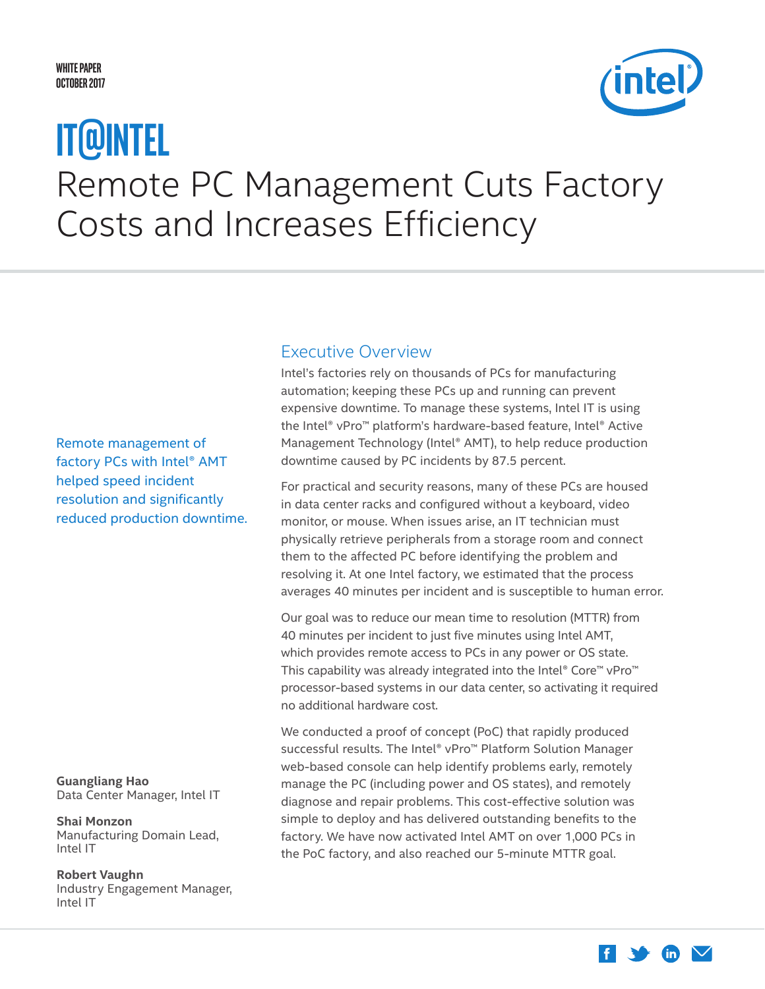#### <span id="page-0-0"></span>**White Paper October 2017**



# Remote PC Management Cuts Factory Costs and Increases Efficiency **IT@Intel**

Remote management of factory PCs with Intel® AMT helped speed incident resolution and significantly reduced production downtime.

**Guangliang Hao** Data Center Manager, Intel IT

**Shai Monzon** Manufacturing Domain Lead, Intel IT

**Robert Vaughn** Industry Engagement Manager, Intel IT

### Executive Overview

Intel's factories rely on thousands of PCs for manufacturing automation; keeping these PCs up and running can prevent expensive downtime. To manage these systems, Intel IT is using the Intel® vPro™ platform's hardware-based feature, Intel® Active Management Technology (Intel® AMT), to help reduce production downtime caused by PC incidents by 87.5 percent.

For practical and security reasons, many of these PCs are housed in data center racks and configured without a keyboard, video monitor, or mouse. When issues arise, an IT technician must physically retrieve peripherals from a storage room and connect them to the affected PC before identifying the problem and resolving it. At one Intel factory, we estimated that the process averages 40 minutes per incident and is susceptible to human error.

Our goal was to reduce our mean time to resolution (MTTR) from 40 minutes per incident to just five minutes using Intel AMT, which provides remote access to PCs in any power or OS state. This capability was already integrated into the Intel® Core™ vPro™ processor-based systems in our data center, so activating it required no additional hardware cost.

We conducted a proof of concept (PoC) that rapidly produced successful results. The Intel® vPro™ Platform Solution Manager web-based console can help identify problems early, remotely manage the PC (including power and OS states), and remotely diagnose and repair problems. This cost-effective solution was simple to deploy and has delivered outstanding benefits to the factory. We have now activated Intel AMT on over 1,000 PCs in the PoC factory, and also reached our 5-minute MTTR goal.

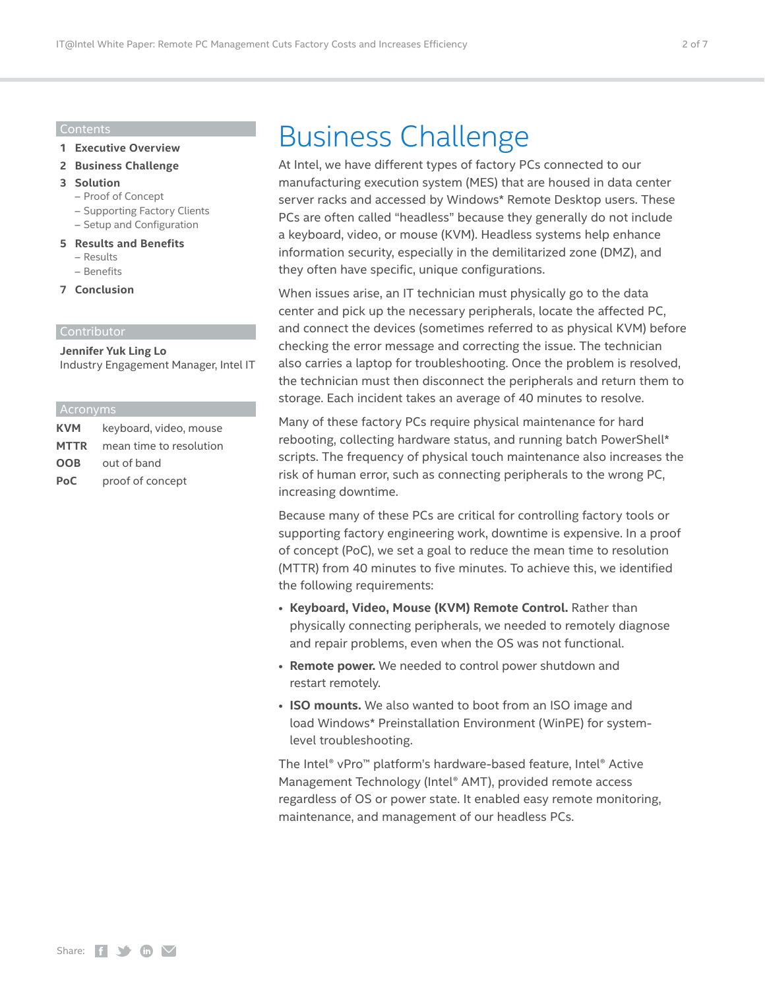#### Contents

- **1 [Executive Overview](#page-0-0)**
- **2 Business Challenge**
- **3 [Solution](#page-2-0)** 
	- [Proof of Concept](#page-2-0)
	- [Supporting Factory Clients](#page-3-0)
	- [Setup and Configuration](#page-4-0)
- **5 [Results and Benefits](#page-4-0)** – [Results](#page-4-0)
	- [Benefits](#page-5-0)
	-
- **7 [Conclusion](#page-6-0)**

#### Contributor

**Jennifer Yuk Ling Lo** Industry Engagement Manager, Intel IT

#### Acronyms

| <b>KVM</b>  | keyboard, video, mouse  |
|-------------|-------------------------|
| <b>MTTR</b> | mean time to resolution |
| <b>OOB</b>  | out of band             |
| PoC.        | proof of concept        |

## Business Challenge

At Intel, we have different types of factory PCs connected to our manufacturing execution system (MES) that are housed in data center server racks and accessed by Windows\* Remote Desktop users. These PCs are often called "headless" because they generally do not include a keyboard, video, or mouse (KVM). Headless systems help enhance information security, especially in the demilitarized zone (DMZ), and they often have specific, unique configurations.

When issues arise, an IT technician must physically go to the data center and pick up the necessary peripherals, locate the affected PC, and connect the devices (sometimes referred to as physical KVM) before checking the error message and correcting the issue. The technician also carries a laptop for troubleshooting. Once the problem is resolved, the technician must then disconnect the peripherals and return them to storage. Each incident takes an average of 40 minutes to resolve.

Many of these factory PCs require physical maintenance for hard rebooting, collecting hardware status, and running batch PowerShell\* scripts. The frequency of physical touch maintenance also increases the risk of human error, such as connecting peripherals to the wrong PC, increasing downtime.

Because many of these PCs are critical for controlling factory tools or supporting factory engineering work, downtime is expensive. In a proof of concept (PoC), we set a goal to reduce the mean time to resolution (MTTR) from 40 minutes to five minutes. To achieve this, we identified the following requirements:

- **Keyboard, Video, Mouse (KVM) Remote Control.** Rather than physically connecting peripherals, we needed to remotely diagnose and repair problems, even when the OS was not functional.
- **Remote power.** We needed to control power shutdown and restart remotely.
- **ISO mounts.** We also wanted to boot from an ISO image and load Windows\* Preinstallation Environment (WinPE) for systemlevel troubleshooting.

The Intel® vPro™ platform's hardware-based feature, Intel® Active Management Technology (Intel® AMT), provided remote access regardless of OS or power state. It enabled easy remote monitoring, maintenance, and management of our headless PCs.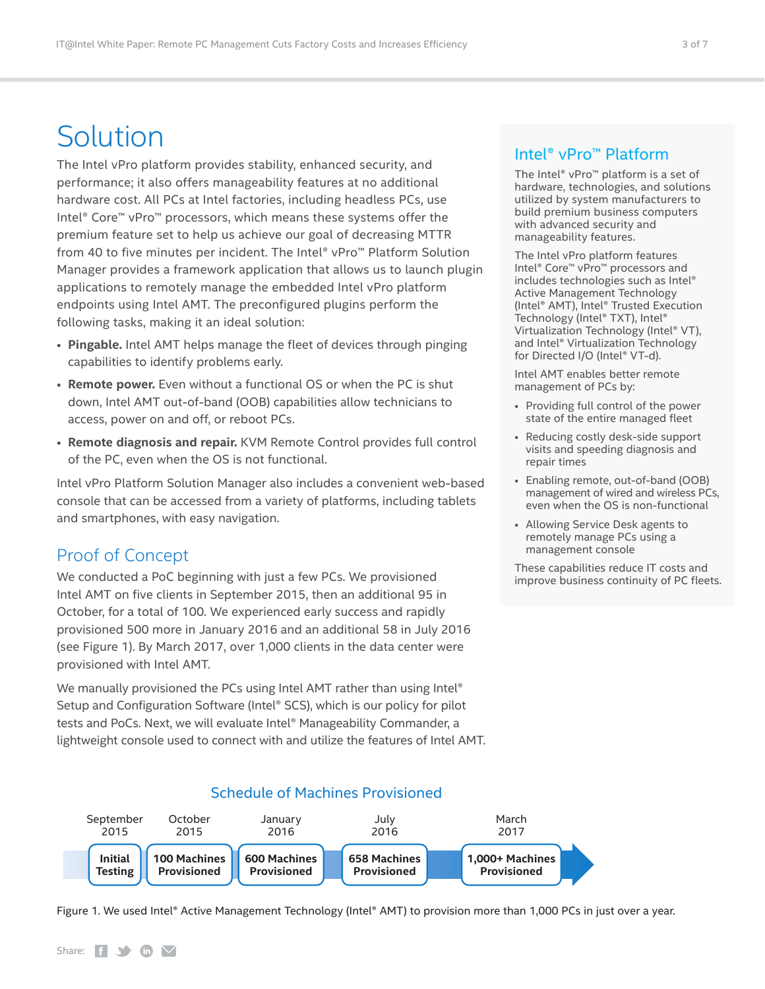## <span id="page-2-0"></span>Solution

The Intel vPro platform provides stability, enhanced security, and performance; it also offers manageability features at no additional hardware cost. All PCs at Intel factories, including headless PCs, use Intel® Core™ vPro™ processors, which means these systems offer the premium feature set to help us achieve our goal of decreasing MTTR from 40 to five minutes per incident. The Intel® vPro™ Platform Solution Manager provides a framework application that allows us to launch plugin applications to remotely manage the embedded Intel vPro platform endpoints using Intel AMT. The preconfigured plugins perform the following tasks, making it an ideal solution:

- **Pingable.** Intel AMT helps manage the fleet of devices through pinging capabilities to identify problems early.
- **Remote power.** Even without a functional OS or when the PC is shut down, Intel AMT out-of-band (OOB) capabilities allow technicians to access, power on and off, or reboot PCs.
- **Remote diagnosis and repair.** KVM Remote Control provides full control of the PC, even when the OS is not functional.

Intel vPro Platform Solution Manager also includes a convenient web-based console that can be accessed from a variety of platforms, including tablets and smartphones, with easy navigation.

## Proof of Concept

We conducted a PoC beginning with just a few PCs. We provisioned Intel AMT on five clients in September 2015, then an additional 95 in October, for a total of 100. We experienced early success and rapidly provisioned 500 more in January 2016 and an additional 58 in July 2016 (see Figure 1). By March 2017, over 1,000 clients in the data center were provisioned with Intel AMT.

We manually provisioned the PCs using Intel AMT rather than using Intel<sup>®</sup> Setup and Configuration Software (Intel® SCS), which is our policy for pilot tests and PoCs. Next, we will evaluate Intel® Manageability Commander, a lightweight console used to connect with and utilize the features of Intel AMT.

### Intel® vPro™ Platform

The Intel® vPro™ platform is a set of hardware, technologies, and solutions utilized by system manufacturers to build premium business computers with advanced security and manageability features.

The Intel vPro platform features Intel® Core™ vPro™ processors and includes technologies such as Intel® Active Management Technology (Intel® AMT), Intel® Trusted Execution Technology (Intel® TXT), Intel® Virtualization Technology (Intel® VT), and Intel® Virtualization Technology for Directed I/O (Intel® VT-d).

Intel AMT enables better remote management of PCs by:

- Providing full control of the power state of the entire managed fleet
- Reducing costly desk-side support visits and speeding diagnosis and repair times
- Enabling remote, out-of-band (OOB) management of wired and wireless PCs, even when the OS is non-functional
- Allowing Service Desk agents to remotely manage PCs using a management console

These capabilities reduce IT costs and improve business continuity of PC fleets.



Figure 1. We used Intel® Active Management Technology (Intel® AMT) to provision more than 1,000 PCs in just over a year.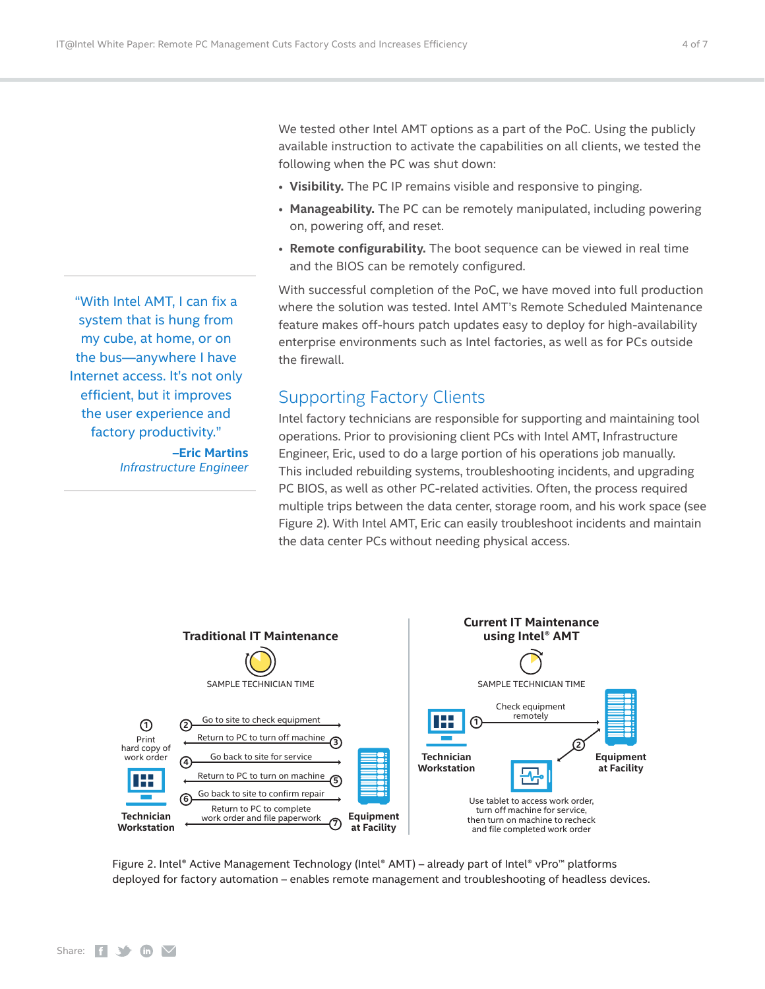We tested other Intel AMT options as a part of the PoC. Using the publicly available instruction to activate the capabilities on all clients, we tested the following when the PC was shut down:

- **Visibility.** The PC IP remains visible and responsive to pinging.
- **Manageability.** The PC can be remotely manipulated, including powering on, powering off, and reset.
- **Remote configurability.** The boot sequence can be viewed in real time and the BIOS can be remotely configured.

With successful completion of the PoC, we have moved into full production where the solution was tested. Intel AMT's Remote Scheduled Maintenance feature makes off-hours patch updates easy to deploy for high-availability enterprise environments such as Intel factories, as well as for PCs outside the firewall.

### Supporting Factory Clients

Intel factory technicians are responsible for supporting and maintaining tool operations. Prior to provisioning client PCs with Intel AMT, Infrastructure Engineer, Eric, used to do a large portion of his operations job manually. This included rebuilding systems, troubleshooting incidents, and upgrading PC BIOS, as well as other PC-related activities. Often, the process required multiple trips between the data center, storage room, and his work space (see Figure 2). With Intel AMT, Eric can easily troubleshoot incidents and maintain the data center PCs without needing physical access.



Figure 2. Intel® Active Management Technology (Intel® AMT) – already part of Intel® vPro™ platforms deployed for factory automation – enables remote management and troubleshooting of headless devices.

<span id="page-3-0"></span>"With Intel AMT, I can fix a system that is hung from my cube, at home, or on the bus—anywhere I have Internet access. It's not only efficient, but it improves the user experience and factory productivity." **–Eric Martins** *Infrastructure Engineer*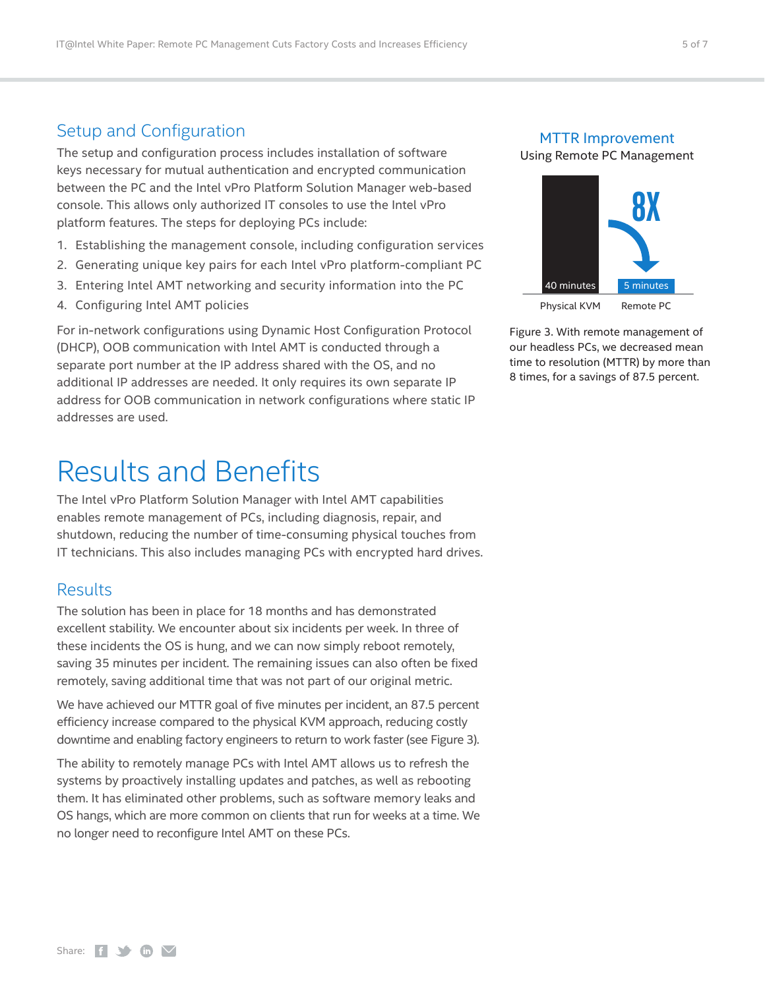### <span id="page-4-0"></span>Setup and Configuration

The setup and configuration process includes installation of software keys necessary for mutual authentication and encrypted communication between the PC and the Intel vPro Platform Solution Manager web-based console. This allows only authorized IT consoles to use the Intel vPro platform features. The steps for deploying PCs include:

- 1. Establishing the management console, including configuration services
- 2. Generating unique key pairs for each Intel vPro platform-compliant PC
- 3. Entering Intel AMT networking and security information into the PC
- 4. Configuring Intel AMT policies

For in-network configurations using Dynamic Host Configuration Protocol (DHCP), OOB communication with Intel AMT is conducted through a separate port number at the IP address shared with the OS, and no additional IP addresses are needed. It only requires its own separate IP address for OOB communication in network configurations where static IP addresses are used.

## Results and Benefits

The Intel vPro Platform Solution Manager with Intel AMT capabilities enables remote management of PCs, including diagnosis, repair, and shutdown, reducing the number of time-consuming physical touches from IT technicians. This also includes managing PCs with encrypted hard drives.

#### **Results**

The solution has been in place for 18 months and has demonstrated excellent stability. We encounter about six incidents per week. In three of these incidents the OS is hung, and we can now simply reboot remotely, saving 35 minutes per incident. The remaining issues can also often be fixed remotely, saving additional time that was not part of our original metric.

We have achieved our MTTR goal of five minutes per incident, an 87.5 percent efficiency increase compared to the physical KVM approach, reducing costly downtime and enabling factory engineers to return to work faster (see Figure 3).

The ability to remotely manage PCs with Intel AMT allows us to refresh the systems by proactively installing updates and patches, as well as rebooting them. It has eliminated other problems, such as software memory leaks and OS hangs, which are more common on clients that run for weeks at a time. We no longer need to reconfigure Intel AMT on these PCs.

## MTTR Improvement

Using Remote PC Management



Figure 3. With remote management of our headless PCs, we decreased mean time to resolution (MTTR) by more than 8 times, for a savings of 87.5 percent.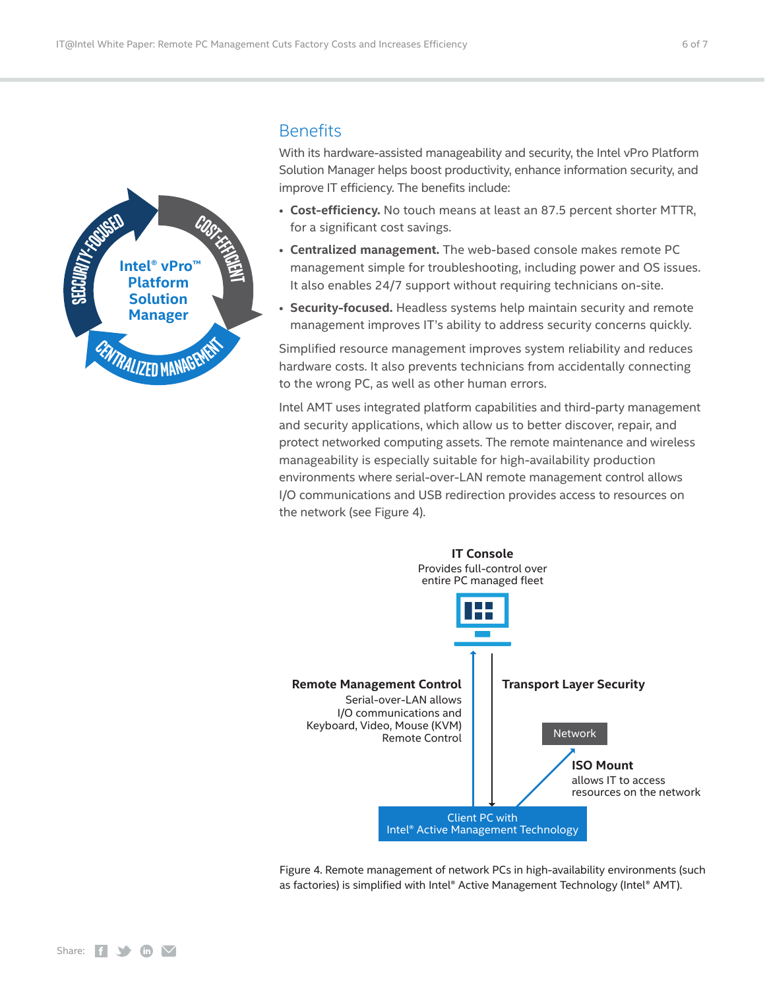<span id="page-5-0"></span>

#### **Benefits**

With its hardware-assisted manageability and security, the Intel vPro Platform Solution Manager helps boost productivity, enhance information security, and improve IT efficiency. The benefits include:

- **Cost-efficiency.** No touch means at least an 87.5 percent shorter MTTR, for a significant cost savings.
- **Centralized management.** The web-based console makes remote PC management simple for troubleshooting, including power and OS issues. It also enables 24/7 support without requiring technicians on-site.
- **Security-focused.** Headless systems help maintain security and remote management improves IT's ability to address security concerns quickly.

Simplified resource management improves system reliability and reduces hardware costs. It also prevents technicians from accidentally connecting to the wrong PC, as well as other human errors.

Intel AMT uses integrated platform capabilities and third-party management and security applications, which allow us to better discover, repair, and protect networked computing assets. The remote maintenance and wireless manageability is especially suitable for high-availability production environments where serial-over-LAN remote management control allows I/O communications and USB redirection provides access to resources on the network (see Figure 4).



Figure 4. Remote management of network PCs in high-availability environments (such as factories) is simplified with Intel® Active Management Technology (Intel® AMT).